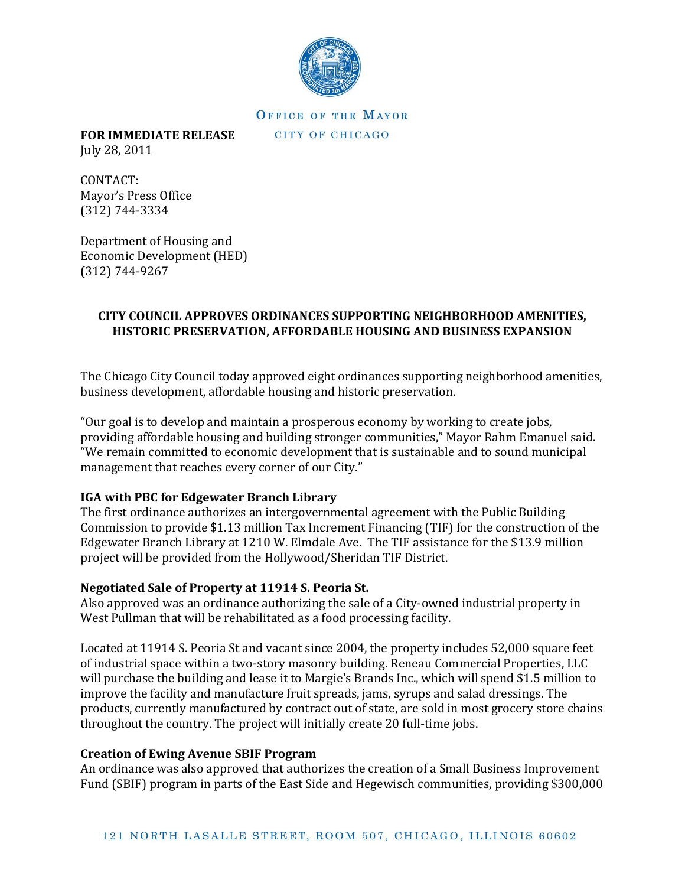

## OFFICE OF THE MAYOR

CITY OF CHICAGO

**FOR IMMEDIATE RELEASE**  July 28, 2011

CONTACT: Mayor's Press Office (312) 744-3334

Department of Housing and Economic Development (HED) (312) 744-9267

# **CITY COUNCIL APPROVES ORDINANCES SUPPORTING NEIGHBORHOOD AMENITIES, HISTORIC PRESERVATION, AFFORDABLE HOUSING AND BUSINESS EXPANSION**

The Chicago City Council today approved eight ordinances supporting neighborhood amenities, business development, affordable housing and historic preservation.

"Our goal is to develop and maintain a prosperous economy by working to create jobs, providing affordable housing and building stronger communities," Mayor Rahm Emanuel said. "We remain committed to economic development that is sustainable and to sound municipal management that reaches every corner of our City."

### **IGA with PBC for Edgewater Branch Library**

The first ordinance authorizes an intergovernmental agreement with the Public Building Commission to provide \$1.13 million Tax Increment Financing (TIF) for the construction of the Edgewater Branch Library at 1210 W. Elmdale Ave. The TIF assistance for the \$13.9 million project will be provided from the Hollywood/Sheridan TIF District.

# **Negotiated Sale of Property at 11914 S. Peoria St.**

Also approved was an ordinance authorizing the sale of a City-owned industrial property in West Pullman that will be rehabilitated as a food processing facility.

Located at 11914 S. Peoria St and vacant since 2004, the property includes 52,000 square feet of industrial space within a two-story masonry building. Reneau Commercial Properties, LLC will purchase the building and lease it to Margie's Brands Inc., which will spend \$1.5 million to improve the facility and manufacture fruit spreads, jams, syrups and salad dressings. The products, currently manufactured by contract out of state, are sold in most grocery store chains throughout the country. The project will initially create 20 full-time jobs.

# **Creation of Ewing Avenue SBIF Program**

An ordinance was also approved that authorizes the creation of a Small Business Improvement Fund (SBIF) program in parts of the East Side and Hegewisch communities, providing \$300,000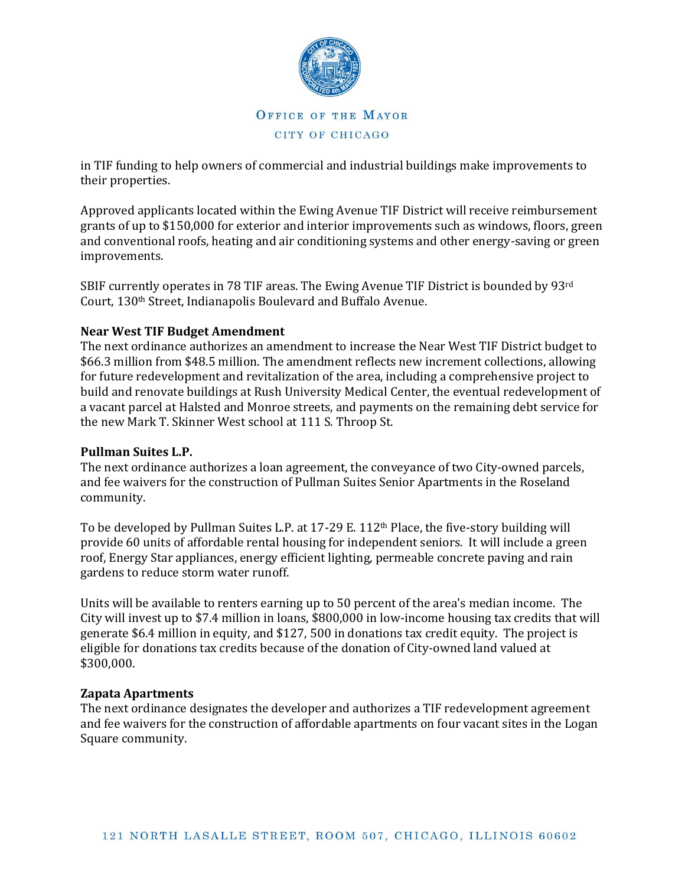

in TIF funding to help owners of commercial and industrial buildings make improvements to their properties.

Approved applicants located within the Ewing Avenue TIF District will receive reimbursement grants of up to \$150,000 for exterior and interior improvements such as windows, floors, green and conventional roofs, heating and air conditioning systems and other energy-saving or green improvements.

SBIF currently operates in 78 TIF areas. The Ewing Avenue TIF District is bounded by 93rd Court, 130th Street, Indianapolis Boulevard and Buffalo Avenue.

### **Near West TIF Budget Amendment**

The next ordinance authorizes an amendment to increase the Near West TIF District budget to \$66.3 million from \$48.5 million. The amendment reflects new increment collections, allowing for future redevelopment and revitalization of the area, including a comprehensive project to build and renovate buildings at Rush University Medical Center, the eventual redevelopment of a vacant parcel at Halsted and Monroe streets, and payments on the remaining debt service for the new Mark T. Skinner West school at 111 S. Throop St.

#### **Pullman Suites L.P.**

The next ordinance authorizes a loan agreement, the conveyance of two City-owned parcels, and fee waivers for the construction of Pullman Suites Senior Apartments in the Roseland community.

To be developed by Pullman Suites L.P. at 17-29 E. 112<sup>th</sup> Place, the five-story building will provide 60 units of affordable rental housing for independent seniors. It will include a green roof, Energy Star appliances, energy efficient lighting, permeable concrete paving and rain gardens to reduce storm water runoff.

Units will be available to renters earning up to 50 percent of the area's median income. The City will invest up to \$7.4 million in loans, \$800,000 in low-income housing tax credits that will generate \$6.4 million in equity, and \$127, 500 in donations tax credit equity. The project is eligible for donations tax credits because of the donation of City-owned land valued at \$300,000.

#### **Zapata Apartments**

The next ordinance designates the developer and authorizes a TIF redevelopment agreement and fee waivers for the construction of affordable apartments on four vacant sites in the Logan Square community.